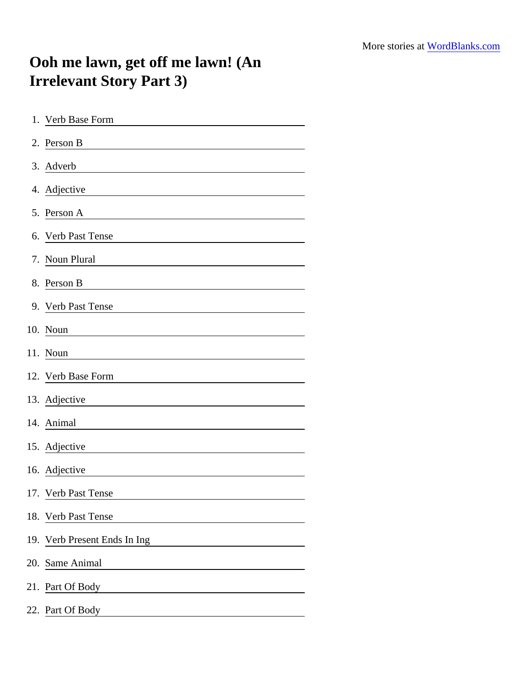## Ooh me lawn, get off me lawn! (An Irrelevant Story Part 3)

| 1. Verb Base Form                                                                                                                                                                                                                                          |
|------------------------------------------------------------------------------------------------------------------------------------------------------------------------------------------------------------------------------------------------------------|
| 2. Person B                                                                                                                                                                                                                                                |
| 3. Adverb                                                                                                                                                                                                                                                  |
| 4. Adjective                                                                                                                                                                                                                                               |
| 5. Person A                                                                                                                                                                                                                                                |
| 6. Verb Past Tense                                                                                                                                                                                                                                         |
| 7. Noun Plural                                                                                                                                                                                                                                             |
| 8. Person B                                                                                                                                                                                                                                                |
| 9. Verb Past Tense<br><u>and the company of the company of the company of the company of the company of the company of the company of the company of the company of the company of the company of the company of the company of the company of the com</u> |
| 10. Noun                                                                                                                                                                                                                                                   |
| 11. Noun                                                                                                                                                                                                                                                   |
| 12. Verb Base Form                                                                                                                                                                                                                                         |
| 13. Adjective                                                                                                                                                                                                                                              |
| 14. Animal                                                                                                                                                                                                                                                 |
| 15. Adjective                                                                                                                                                                                                                                              |
| 16. Adjective                                                                                                                                                                                                                                              |
| 17. Verb Past Tense                                                                                                                                                                                                                                        |
| 18. Verb Past Tense                                                                                                                                                                                                                                        |
| 19. Verb Present Ends In Ing                                                                                                                                                                                                                               |
| 20. Same Animal                                                                                                                                                                                                                                            |
| 21. Part Of Body                                                                                                                                                                                                                                           |
| 22. Part Of Body                                                                                                                                                                                                                                           |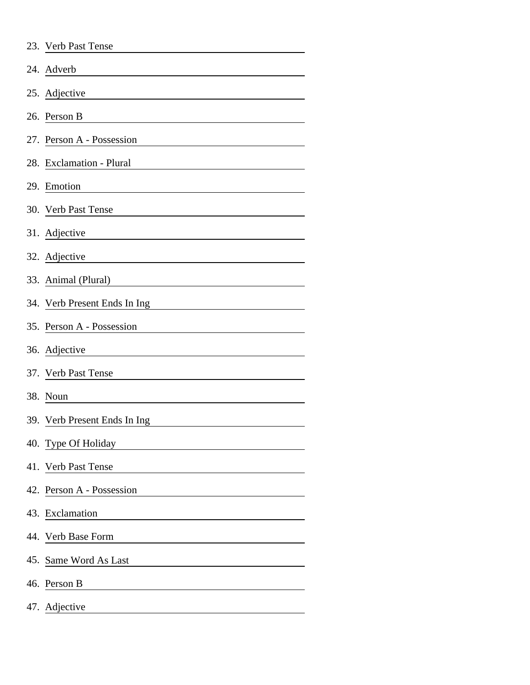|     | 23. Verb Past Tense                             |
|-----|-------------------------------------------------|
|     | 24. Adverb                                      |
|     | 25. Adjective                                   |
|     | 26. Person B                                    |
|     | 27. Person A - Possession                       |
|     | 28. Exclamation - Plural                        |
| 29. | Emotion                                         |
|     | 30. Verb Past Tense                             |
|     | 31. Adjective                                   |
|     | 32. Adjective<br>and the company of the company |
|     | 33. Animal (Plural)                             |
|     | 34. Verb Present Ends In Ing                    |
|     | 35. Person A - Possession                       |
|     | 36. Adjective                                   |
|     | 37. Verb Past Tense                             |
|     | 38. Noun                                        |
|     | 39. Verb Present Ends In Ing                    |
|     | 40. Type Of Holiday                             |
|     | 41. Verb Past Tense                             |
|     | 42. Person A - Possession                       |
|     | 43. Exclamation                                 |
|     | 44. Verb Base Form                              |
|     | 45. Same Word As Last                           |
|     | 46. Person B                                    |
|     | 47. Adjective                                   |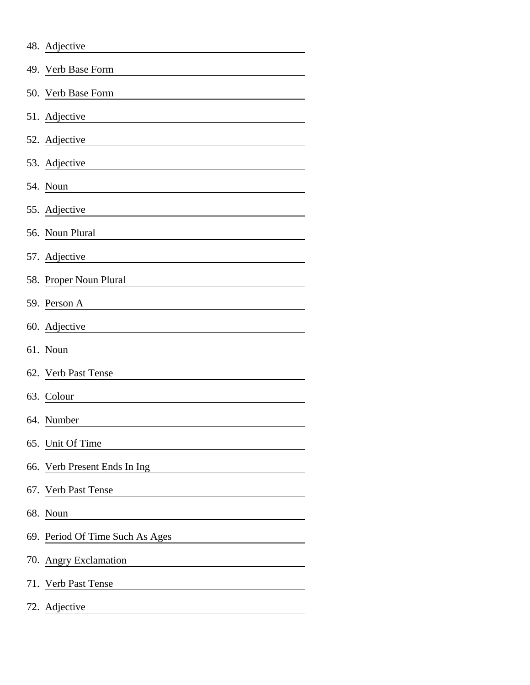|     | 48. Adjective                                                                  |
|-----|--------------------------------------------------------------------------------|
| 49. | Verb Base Form                                                                 |
|     | 50. Verb Base Form                                                             |
|     | 51. Adjective                                                                  |
|     | 52. Adjective                                                                  |
|     | 53. Adjective                                                                  |
|     | 54. Noun                                                                       |
|     | 55. Adjective                                                                  |
|     | 56. Noun Plural                                                                |
|     | 57. Adjective                                                                  |
|     | 58. Proper Noun Plural                                                         |
|     | 59. Person A                                                                   |
|     | 60. Adjective                                                                  |
|     | 61. Noun                                                                       |
|     | 62. Verb Past Tense                                                            |
|     | 63. Colour                                                                     |
|     | 64. Number                                                                     |
|     | 65. Unit Of Time                                                               |
| 66. | Verb Present Ends In Ing                                                       |
| 67. | Verb Past Tense<br><u> 1980 - Johann Barbara, martxa al</u>                    |
|     | 68. Noun                                                                       |
|     | 69. Period Of Time Such As Ages                                                |
|     | 70. Angry Exclamation<br><u> 1989 - Johann Stein, fransk politik (d. 1989)</u> |
|     | 71. Verb Past Tense                                                            |
|     | 72. Adjective                                                                  |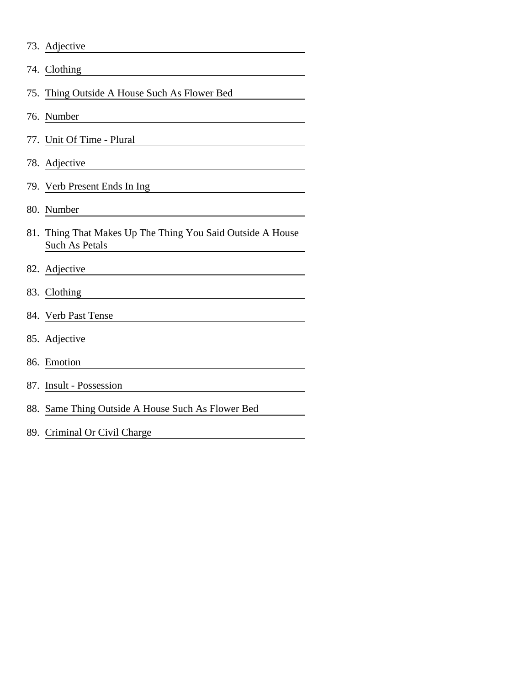| 73. Adjective                                                                                                                      |
|------------------------------------------------------------------------------------------------------------------------------------|
| 74. Clothing                                                                                                                       |
| 75. Thing Outside A House Such As Flower Bed                                                                                       |
| 76. Number                                                                                                                         |
| 77. Unit Of Time - Plural                                                                                                          |
| 78. Adjective                                                                                                                      |
| 79. Verb Present Ends In Ing                                                                                                       |
| 80. Number<br><u> 1980 - Jan Stein Stein Stein Stein Stein Stein Stein Stein Stein Stein Stein Stein Stein Stein Stein Stein S</u> |
| 81. Thing That Makes Up The Thing You Said Outside A House<br>Such As Petals                                                       |
| 82. Adjective                                                                                                                      |
| 83. Clothing                                                                                                                       |
| 84. Verb Past Tense                                                                                                                |
| 85. Adjective                                                                                                                      |
| 86. Emotion                                                                                                                        |
| 87. Insult - Possession                                                                                                            |
| 88. Same Thing Outside A House Such As Flower Bed                                                                                  |
| 89. Criminal Or Civil Charge                                                                                                       |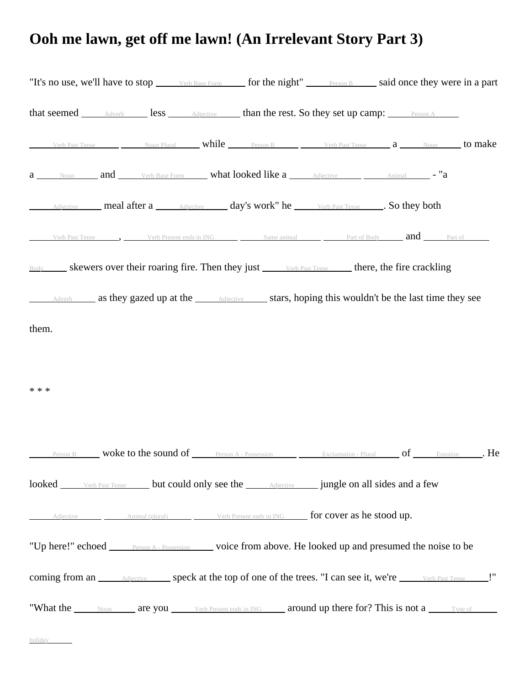## **Ooh me lawn, get off me lawn! (An Irrelevant Story Part 3)**

| "It's no use, we'll have to stop <u>verb Base Form</u> for the night" <u>Person B</u> said once they were in a part                                                                                                            |  |  |  |  |
|--------------------------------------------------------------------------------------------------------------------------------------------------------------------------------------------------------------------------------|--|--|--|--|
| that seemed <u>Adverb</u> less Adjective than the rest. So they set up camp: Person A                                                                                                                                          |  |  |  |  |
| Verb Past Tense $\_\_\_\_\_\_\$ Noun Plural while $\_\_\_\_\_\_\$ Person B $\_\_\_\_\_\_\$ Verb Past Tense $\_\_\_\_\_\_\_\_\$ Noun to make                                                                                    |  |  |  |  |
| a Noun and Verb Base Form what looked like a Adjective Animal - "a                                                                                                                                                             |  |  |  |  |
| Adjective meal after a <b>Adjective day's work</b> " he <b>Werb Past Tense So they both</b>                                                                                                                                    |  |  |  |  |
| Verb Past Tense 5. Verb Present ends in ING Same animal Part of Body <b>and</b> Part of                                                                                                                                        |  |  |  |  |
| Body skewers over their roaring fire. Then they just <u>verb Past Tense</u> there, the fire crackling                                                                                                                          |  |  |  |  |
| Adverb as they gazed up at the <i>Adjective</i> stars, hoping this wouldn't be the last time they see                                                                                                                          |  |  |  |  |
| them.                                                                                                                                                                                                                          |  |  |  |  |
|                                                                                                                                                                                                                                |  |  |  |  |
| * * *                                                                                                                                                                                                                          |  |  |  |  |
|                                                                                                                                                                                                                                |  |  |  |  |
| <b>Person B Woke to the sound of Person A - Possession Lexclamation - Plural Cambridge Concernsion Concernsion Concernsion Concernsion Concernsion Concernsion Concernsion Concernsion Concernsion Concernsion Concernsion</b> |  |  |  |  |
| looked verb Past Tense but could only see the <b>Adjective</b> jungle on all sides and a few                                                                                                                                   |  |  |  |  |
| Adjective Animal (plural) Verb Present ends in ING <b>for cover as he stood up.</b>                                                                                                                                            |  |  |  |  |
| "Up here!" echoed <u>Person A - Possession</u> voice from above. He looked up and presumed the noise to be                                                                                                                     |  |  |  |  |
| coming from an <i>Adjective</i> speck at the top of one of the trees. "I can see it, we're verb Past Tense !"                                                                                                                  |  |  |  |  |
| "What the <u>Noum</u> are you Verb Present ends in ING around up there for? This is not a Type of                                                                                                                              |  |  |  |  |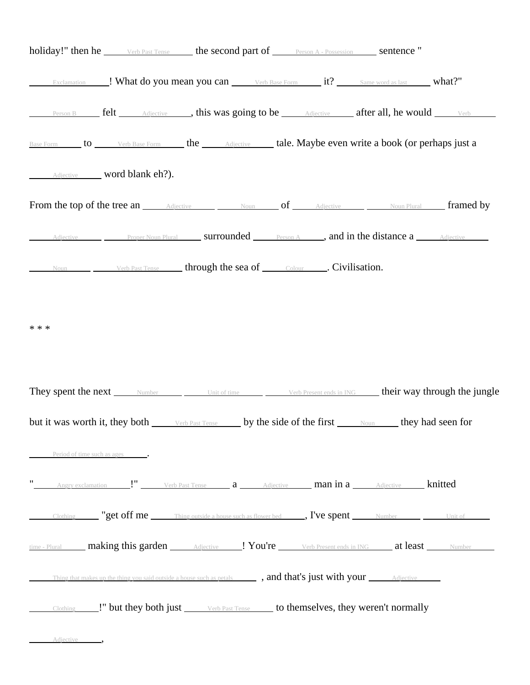|                               |                            |                                                            | <b>holiday!"</b> then he verb Past Tense the second part of Person A - Possession sentence "                                              |  |
|-------------------------------|----------------------------|------------------------------------------------------------|-------------------------------------------------------------------------------------------------------------------------------------------|--|
|                               |                            |                                                            |                                                                                                                                           |  |
|                               |                            |                                                            | <b>Person B</b> felt <i>Adjective</i> , this was going to be <i>Adjective</i> after all, he would verb                                    |  |
|                               |                            |                                                            | Base Form to Verb Base Form the Adjective tale. Maybe even write a book (or perhaps just a                                                |  |
|                               | Adjective word blank eh?). |                                                            |                                                                                                                                           |  |
|                               |                            |                                                            | From the top of the tree an Adjective Moun of Adjective Moun Plural framed by                                                             |  |
|                               |                            |                                                            | Adjective Proper Noun Plural Surrounded Person A , and in the distance a Adjective                                                        |  |
|                               |                            | Noun Verb Past Tense through the sea of Colour Collection. |                                                                                                                                           |  |
|                               |                            |                                                            | They spent the next <u>Number Unit of time Verb Present ends in ING</u> their way through the jungle                                      |  |
|                               |                            |                                                            |                                                                                                                                           |  |
|                               |                            |                                                            | but it was worth it, they both <u>verb Past Tense</u> by the side of the first <u>when they</u> had seen for                              |  |
| Period of time such as ages . |                            |                                                            |                                                                                                                                           |  |
|                               |                            |                                                            |                                                                                                                                           |  |
|                               |                            |                                                            | Clothing <b>"get off me</b> Thing outside a house such as flower bed <b>Figure 1.1 September</b> Number <b>Clothing</b> Unit of           |  |
|                               |                            |                                                            | time - Plural <b>making this garden</b> Adjective ! You're Verb Present ends in ING at least Number                                       |  |
|                               |                            |                                                            | Thing that makes up the thing you said outside a house such as petals <b>and that's just with your</b> $\overline{\phantom{a}}$ adjective |  |
|                               |                            |                                                            | Clothing 1. Use they be the past Tense and the past Tense clother the past <b>New Series</b> Clothing 1. Use the past Tense controlly     |  |
| Adjective ,                   |                            |                                                            |                                                                                                                                           |  |